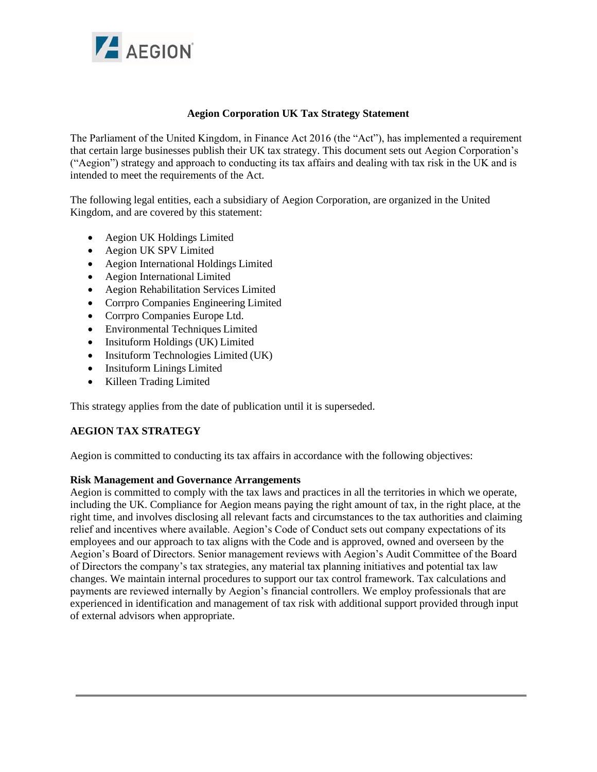

## **Aegion Corporation UK Tax Strategy Statement**

The Parliament of the United Kingdom, in Finance Act 2016 (the "Act"), has implemented a requirement that certain large businesses publish their UK tax strategy. This document sets out Aegion Corporation's ("Aegion") strategy and approach to conducting its tax affairs and dealing with tax risk in the UK and is intended to meet the requirements of the Act.

The following legal entities, each a subsidiary of Aegion Corporation, are organized in the United Kingdom, and are covered by this statement:

- Aegion UK Holdings Limited
- Aegion UK SPV Limited
- Aegion International Holdings Limited
- Aegion International Limited
- Aegion Rehabilitation Services Limited
- Corrpro Companies Engineering Limited
- Corrpro Companies Europe Ltd.
- Environmental Techniques Limited
- Insituform Holdings (UK) Limited
- Insituform Technologies Limited (UK)
- Insituform Linings Limited
- Killeen Trading Limited

This strategy applies from the date of publication until it is superseded.

# **AEGION TAX STRATEGY**

Aegion is committed to conducting its tax affairs in accordance with the following objectives:

#### **Risk Management and Governance Arrangements**

Aegion is committed to comply with the tax laws and practices in all the territories in which we operate, including the UK. Compliance for Aegion means paying the right amount of tax, in the right place, at the right time, and involves disclosing all relevant facts and circumstances to the tax authorities and claiming relief and incentives where available. Aegion's Code of Conduct sets out company expectations of its employees and our approach to tax aligns with the Code and is approved, owned and overseen by the Aegion's Board of Directors. Senior management reviews with Aegion's Audit Committee of the Board of Directors the company's tax strategies, any material tax planning initiatives and potential tax law changes. We maintain internal procedures to support our tax control framework. Tax calculations and payments are reviewed internally by Aegion's financial controllers. We employ professionals that are experienced in identification and management of tax risk with additional support provided through input of external advisors when appropriate.